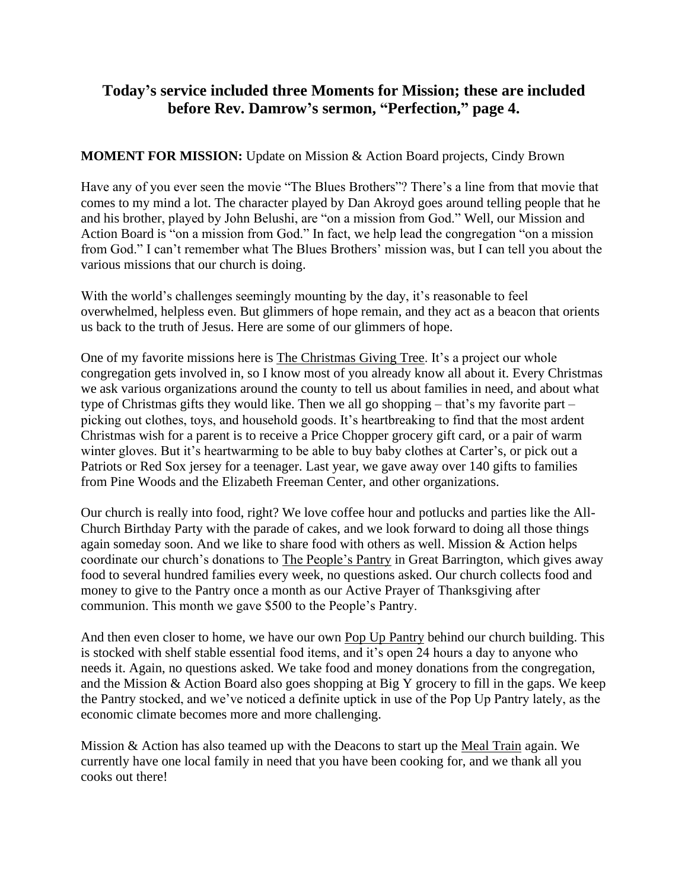# **Today's service included three Moments for Mission; these are included before Rev. Damrow's sermon, "Perfection," page 4.**

## **MOMENT FOR MISSION:** Update on Mission & Action Board projects, Cindy Brown

Have any of you ever seen the movie "The Blues Brothers"? There's a line from that movie that comes to my mind a lot. The character played by Dan Akroyd goes around telling people that he and his brother, played by John Belushi, are "on a mission from God." Well, our Mission and Action Board is "on a mission from God." In fact, we help lead the congregation "on a mission from God." I can't remember what The Blues Brothers' mission was, but I can tell you about the various missions that our church is doing.

With the world's challenges seemingly mounting by the day, it's reasonable to feel overwhelmed, helpless even. But glimmers of hope remain, and they act as a beacon that orients us back to the truth of Jesus. Here are some of our glimmers of hope.

One of my favorite missions here is The Christmas Giving Tree. It's a project our whole congregation gets involved in, so I know most of you already know all about it. Every Christmas we ask various organizations around the county to tell us about families in need, and about what type of Christmas gifts they would like. Then we all go shopping – that's my favorite part – picking out clothes, toys, and household goods. It's heartbreaking to find that the most ardent Christmas wish for a parent is to receive a Price Chopper grocery gift card, or a pair of warm winter gloves. But it's heartwarming to be able to buy baby clothes at Carter's, or pick out a Patriots or Red Sox jersey for a teenager. Last year, we gave away over 140 gifts to families from Pine Woods and the Elizabeth Freeman Center, and other organizations.

Our church is really into food, right? We love coffee hour and potlucks and parties like the All-Church Birthday Party with the parade of cakes, and we look forward to doing all those things again someday soon. And we like to share food with others as well. Mission & Action helps coordinate our church's donations to The People's Pantry in Great Barrington, which gives away food to several hundred families every week, no questions asked. Our church collects food and money to give to the Pantry once a month as our Active Prayer of Thanksgiving after communion. This month we gave \$500 to the People's Pantry.

And then even closer to home, we have our own Pop Up Pantry behind our church building. This is stocked with shelf stable essential food items, and it's open 24 hours a day to anyone who needs it. Again, no questions asked. We take food and money donations from the congregation, and the Mission & Action Board also goes shopping at Big Y grocery to fill in the gaps. We keep the Pantry stocked, and we've noticed a definite uptick in use of the Pop Up Pantry lately, as the economic climate becomes more and more challenging.

Mission & Action has also teamed up with the Deacons to start up the Meal Train again. We currently have one local family in need that you have been cooking for, and we thank all you cooks out there!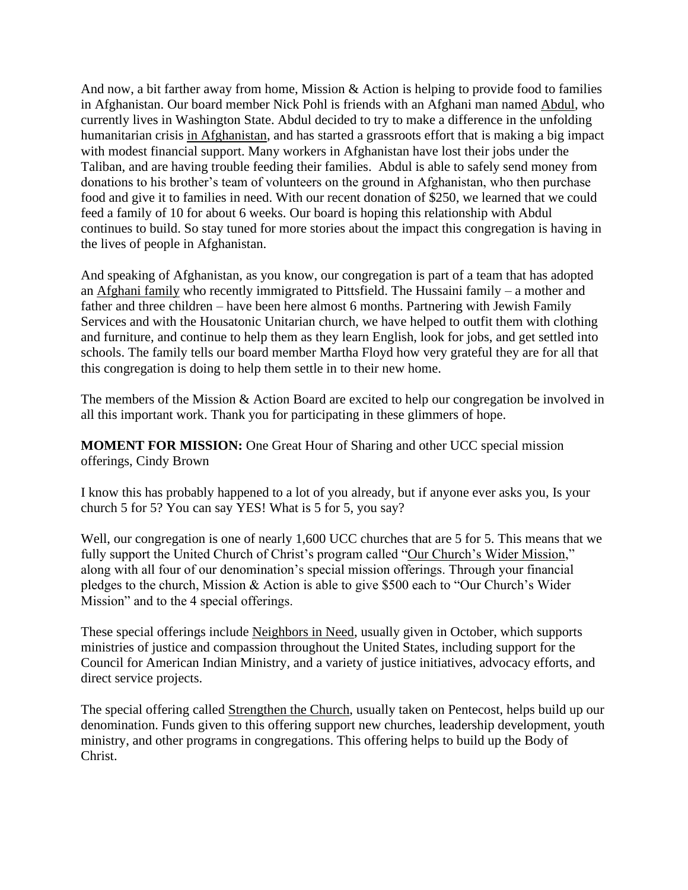And now, a bit farther away from home, Mission & Action is helping to provide food to families in Afghanistan. Our board member Nick Pohl is friends with an Afghani man named Abdul, who currently lives in Washington State. Abdul decided to try to make a difference in the unfolding humanitarian crisis in Afghanistan, and has started a grassroots effort that is making a big impact with modest financial support. Many workers in Afghanistan have lost their jobs under the Taliban, and are having trouble feeding their families. Abdul is able to safely send money from donations to his brother's team of volunteers on the ground in Afghanistan, who then purchase food and give it to families in need. With our recent donation of \$250, we learned that we could feed a family of 10 for about 6 weeks. Our board is hoping this relationship with Abdul continues to build. So stay tuned for more stories about the impact this congregation is having in the lives of people in Afghanistan.

And speaking of Afghanistan, as you know, our congregation is part of a team that has adopted an Afghani family who recently immigrated to Pittsfield. The Hussaini family – a mother and father and three children – have been here almost 6 months. Partnering with Jewish Family Services and with the Housatonic Unitarian church, we have helped to outfit them with clothing and furniture, and continue to help them as they learn English, look for jobs, and get settled into schools. The family tells our board member Martha Floyd how very grateful they are for all that this congregation is doing to help them settle in to their new home.

The members of the Mission & Action Board are excited to help our congregation be involved in all this important work. Thank you for participating in these glimmers of hope.

**MOMENT FOR MISSION:** One Great Hour of Sharing and other UCC special mission offerings, Cindy Brown

I know this has probably happened to a lot of you already, but if anyone ever asks you, Is your church 5 for 5? You can say YES! What is 5 for 5, you say?

Well, our congregation is one of nearly 1,600 UCC churches that are 5 for 5. This means that we fully support the United Church of Christ's program called "Our Church's Wider Mission," along with all four of our denomination's special mission offerings. Through your financial pledges to the church, Mission & Action is able to give \$500 each to "Our Church's Wider Mission" and to the 4 special offerings.

These special offerings include Neighbors in Need, usually given in October, which supports ministries of justice and compassion throughout the United States, including support for the Council for American Indian Ministry, and a variety of justice initiatives, advocacy efforts, and direct service projects.

The special offering called Strengthen the Church, usually taken on Pentecost, helps build up our denomination. Funds given to this offering support new churches, leadership development, youth ministry, and other programs in congregations. This offering helps to build up the Body of Christ.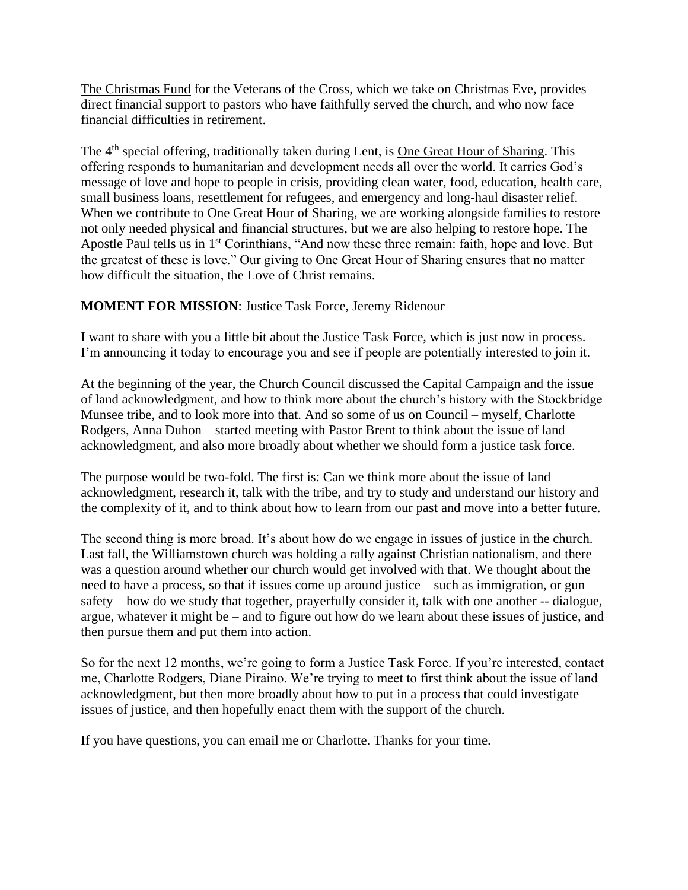The Christmas Fund for the Veterans of the Cross, which we take on Christmas Eve, provides direct financial support to pastors who have faithfully served the church, and who now face financial difficulties in retirement.

The 4<sup>th</sup> special offering, traditionally taken during Lent, is <u>One Great Hour of Sharing</u>. This offering responds to humanitarian and development needs all over the world. It carries God's message of love and hope to people in crisis, providing clean water, food, education, health care, small business loans, resettlement for refugees, and emergency and long-haul disaster relief. When we contribute to One Great Hour of Sharing, we are working alongside families to restore not only needed physical and financial structures, but we are also helping to restore hope. The Apostle Paul tells us in 1<sup>st</sup> Corinthians, "And now these three remain: faith, hope and love. But the greatest of these is love." Our giving to One Great Hour of Sharing ensures that no matter how difficult the situation, the Love of Christ remains.

## **MOMENT FOR MISSION**: Justice Task Force, Jeremy Ridenour

I want to share with you a little bit about the Justice Task Force, which is just now in process. I'm announcing it today to encourage you and see if people are potentially interested to join it.

At the beginning of the year, the Church Council discussed the Capital Campaign and the issue of land acknowledgment, and how to think more about the church's history with the Stockbridge Munsee tribe, and to look more into that. And so some of us on Council – myself, Charlotte Rodgers, Anna Duhon – started meeting with Pastor Brent to think about the issue of land acknowledgment, and also more broadly about whether we should form a justice task force.

The purpose would be two-fold. The first is: Can we think more about the issue of land acknowledgment, research it, talk with the tribe, and try to study and understand our history and the complexity of it, and to think about how to learn from our past and move into a better future.

The second thing is more broad. It's about how do we engage in issues of justice in the church. Last fall, the Williamstown church was holding a rally against Christian nationalism, and there was a question around whether our church would get involved with that. We thought about the need to have a process, so that if issues come up around justice – such as immigration, or gun safety – how do we study that together, prayerfully consider it, talk with one another -- dialogue, argue, whatever it might be – and to figure out how do we learn about these issues of justice, and then pursue them and put them into action.

So for the next 12 months, we're going to form a Justice Task Force. If you're interested, contact me, Charlotte Rodgers, Diane Piraino. We're trying to meet to first think about the issue of land acknowledgment, but then more broadly about how to put in a process that could investigate issues of justice, and then hopefully enact them with the support of the church.

If you have questions, you can email me or Charlotte. Thanks for your time.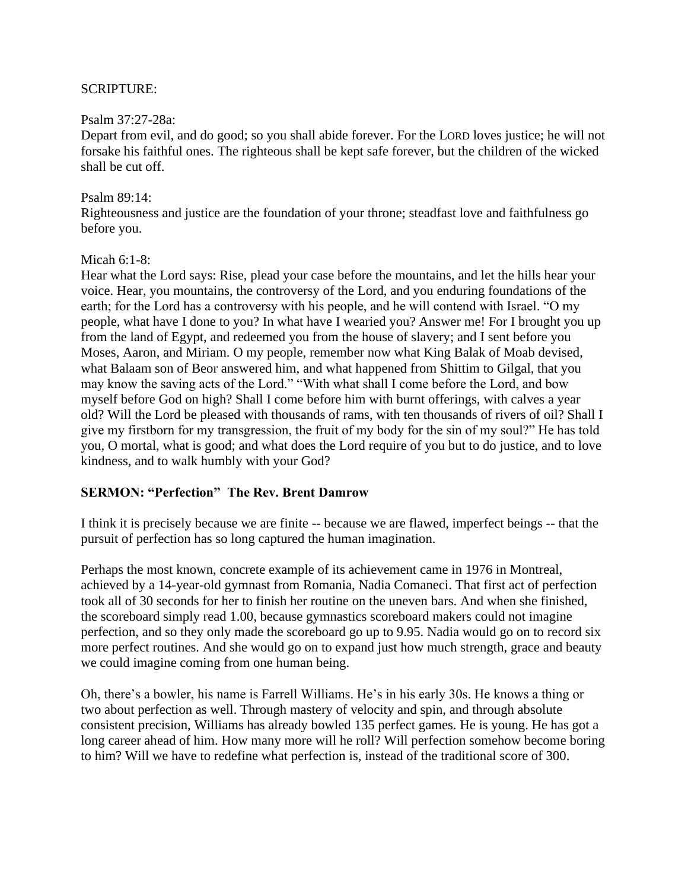### SCRIPTURE:

#### Psalm 37:27-28a:

Depart from evil, and do good; so you shall abide forever. For the LORD loves justice; he will not forsake his faithful ones. The righteous shall be kept safe forever, but the children of the wicked shall be cut off.

#### Psalm 89:14:

Righteousness and justice are the foundation of your throne; steadfast love and faithfulness go before you.

#### Micah 6:1-8:

Hear what the Lord says: Rise, plead your case before the mountains, and let the hills hear your voice. Hear, you mountains, the controversy of the Lord, and you enduring foundations of the earth; for the Lord has a controversy with his people, and he will contend with Israel. "O my people, what have I done to you? In what have I wearied you? Answer me! For I brought you up from the land of Egypt, and redeemed you from the house of slavery; and I sent before you Moses, Aaron, and Miriam. O my people, remember now what King Balak of Moab devised, what Balaam son of Beor answered him, and what happened from Shittim to Gilgal, that you may know the saving acts of the Lord." "With what shall I come before the Lord, and bow myself before God on high? Shall I come before him with burnt offerings, with calves a year old? Will the Lord be pleased with thousands of rams, with ten thousands of rivers of oil? Shall I give my firstborn for my transgression, the fruit of my body for the sin of my soul?" He has told you, O mortal, what is good; and what does the Lord require of you but to do justice, and to love kindness, and to walk humbly with your God?

#### **SERMON: "Perfection" The Rev. Brent Damrow**

I think it is precisely because we are finite -- because we are flawed, imperfect beings -- that the pursuit of perfection has so long captured the human imagination.

Perhaps the most known, concrete example of its achievement came in 1976 in Montreal, achieved by a 14-year-old gymnast from Romania, Nadia Comaneci. That first act of perfection took all of 30 seconds for her to finish her routine on the uneven bars. And when she finished, the scoreboard simply read 1.00, because gymnastics scoreboard makers could not imagine perfection, and so they only made the scoreboard go up to 9.95. Nadia would go on to record six more perfect routines. And she would go on to expand just how much strength, grace and beauty we could imagine coming from one human being.

Oh, there's a bowler, his name is Farrell Williams. He's in his early 30s. He knows a thing or two about perfection as well. Through mastery of velocity and spin, and through absolute consistent precision, Williams has already bowled 135 perfect games. He is young. He has got a long career ahead of him. How many more will he roll? Will perfection somehow become boring to him? Will we have to redefine what perfection is, instead of the traditional score of 300.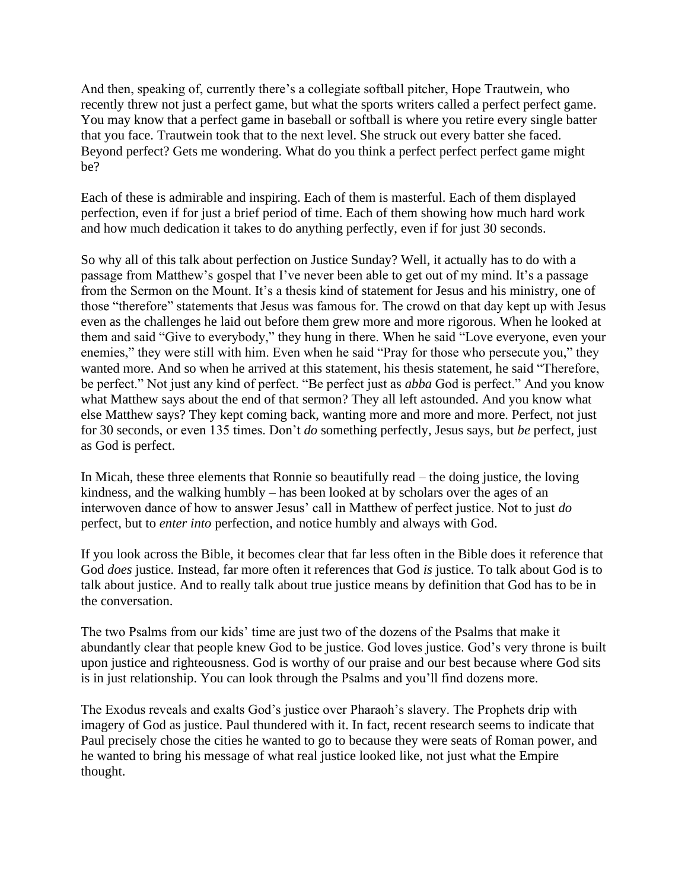And then, speaking of, currently there's a collegiate softball pitcher, Hope Trautwein, who recently threw not just a perfect game, but what the sports writers called a perfect perfect game. You may know that a perfect game in baseball or softball is where you retire every single batter that you face. Trautwein took that to the next level. She struck out every batter she faced. Beyond perfect? Gets me wondering. What do you think a perfect perfect perfect game might be?

Each of these is admirable and inspiring. Each of them is masterful. Each of them displayed perfection, even if for just a brief period of time. Each of them showing how much hard work and how much dedication it takes to do anything perfectly, even if for just 30 seconds.

So why all of this talk about perfection on Justice Sunday? Well, it actually has to do with a passage from Matthew's gospel that I've never been able to get out of my mind. It's a passage from the Sermon on the Mount. It's a thesis kind of statement for Jesus and his ministry, one of those "therefore" statements that Jesus was famous for. The crowd on that day kept up with Jesus even as the challenges he laid out before them grew more and more rigorous. When he looked at them and said "Give to everybody," they hung in there. When he said "Love everyone, even your enemies," they were still with him. Even when he said "Pray for those who persecute you," they wanted more. And so when he arrived at this statement, his thesis statement, he said "Therefore, be perfect." Not just any kind of perfect. "Be perfect just as *abba* God is perfect." And you know what Matthew says about the end of that sermon? They all left astounded. And you know what else Matthew says? They kept coming back, wanting more and more and more. Perfect, not just for 30 seconds, or even 135 times. Don't *do* something perfectly, Jesus says, but *be* perfect, just as God is perfect.

In Micah, these three elements that Ronnie so beautifully read – the doing justice, the loving kindness, and the walking humbly – has been looked at by scholars over the ages of an interwoven dance of how to answer Jesus' call in Matthew of perfect justice. Not to just *do*  perfect, but to *enter into* perfection, and notice humbly and always with God.

If you look across the Bible, it becomes clear that far less often in the Bible does it reference that God *does* justice. Instead, far more often it references that God *is* justice. To talk about God is to talk about justice. And to really talk about true justice means by definition that God has to be in the conversation.

The two Psalms from our kids' time are just two of the dozens of the Psalms that make it abundantly clear that people knew God to be justice. God loves justice. God's very throne is built upon justice and righteousness. God is worthy of our praise and our best because where God sits is in just relationship. You can look through the Psalms and you'll find dozens more.

The Exodus reveals and exalts God's justice over Pharaoh's slavery. The Prophets drip with imagery of God as justice. Paul thundered with it. In fact, recent research seems to indicate that Paul precisely chose the cities he wanted to go to because they were seats of Roman power, and he wanted to bring his message of what real justice looked like, not just what the Empire thought.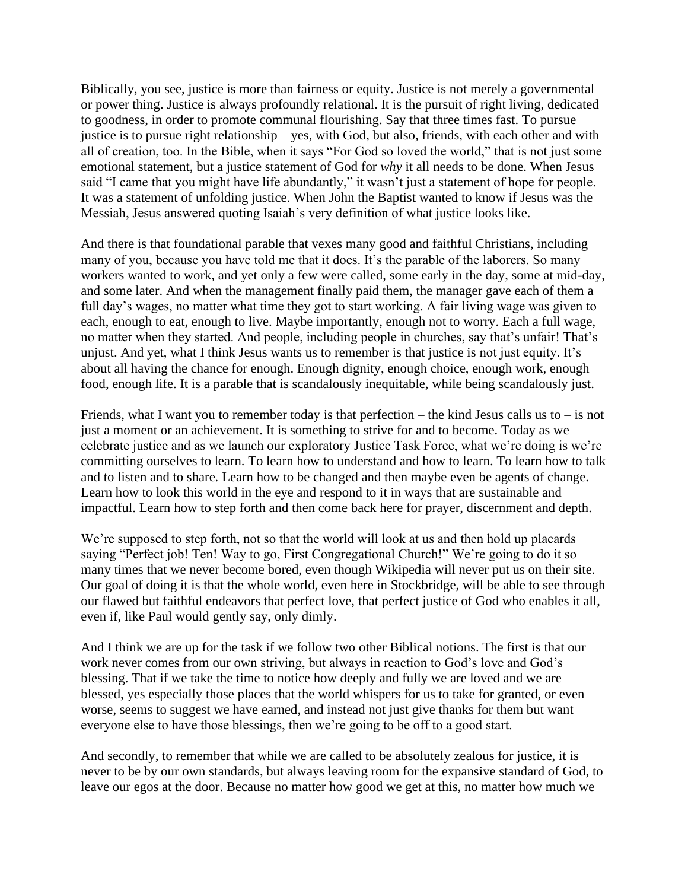Biblically, you see, justice is more than fairness or equity. Justice is not merely a governmental or power thing. Justice is always profoundly relational. It is the pursuit of right living, dedicated to goodness, in order to promote communal flourishing. Say that three times fast. To pursue justice is to pursue right relationship – yes, with God, but also, friends, with each other and with all of creation, too. In the Bible, when it says "For God so loved the world," that is not just some emotional statement, but a justice statement of God for *why* it all needs to be done. When Jesus said "I came that you might have life abundantly," it wasn't just a statement of hope for people. It was a statement of unfolding justice. When John the Baptist wanted to know if Jesus was the Messiah, Jesus answered quoting Isaiah's very definition of what justice looks like.

And there is that foundational parable that vexes many good and faithful Christians, including many of you, because you have told me that it does. It's the parable of the laborers. So many workers wanted to work, and yet only a few were called, some early in the day, some at mid-day, and some later. And when the management finally paid them, the manager gave each of them a full day's wages, no matter what time they got to start working. A fair living wage was given to each, enough to eat, enough to live. Maybe importantly, enough not to worry. Each a full wage, no matter when they started. And people, including people in churches, say that's unfair! That's unjust. And yet, what I think Jesus wants us to remember is that justice is not just equity. It's about all having the chance for enough. Enough dignity, enough choice, enough work, enough food, enough life. It is a parable that is scandalously inequitable, while being scandalously just.

Friends, what I want you to remember today is that perfection – the kind Jesus calls us to – is not just a moment or an achievement. It is something to strive for and to become. Today as we celebrate justice and as we launch our exploratory Justice Task Force, what we're doing is we're committing ourselves to learn. To learn how to understand and how to learn. To learn how to talk and to listen and to share. Learn how to be changed and then maybe even be agents of change. Learn how to look this world in the eye and respond to it in ways that are sustainable and impactful. Learn how to step forth and then come back here for prayer, discernment and depth.

We're supposed to step forth, not so that the world will look at us and then hold up placards saying "Perfect job! Ten! Way to go, First Congregational Church!" We're going to do it so many times that we never become bored, even though Wikipedia will never put us on their site. Our goal of doing it is that the whole world, even here in Stockbridge, will be able to see through our flawed but faithful endeavors that perfect love, that perfect justice of God who enables it all, even if, like Paul would gently say, only dimly.

And I think we are up for the task if we follow two other Biblical notions. The first is that our work never comes from our own striving, but always in reaction to God's love and God's blessing. That if we take the time to notice how deeply and fully we are loved and we are blessed, yes especially those places that the world whispers for us to take for granted, or even worse, seems to suggest we have earned, and instead not just give thanks for them but want everyone else to have those blessings, then we're going to be off to a good start.

And secondly, to remember that while we are called to be absolutely zealous for justice, it is never to be by our own standards, but always leaving room for the expansive standard of God, to leave our egos at the door. Because no matter how good we get at this, no matter how much we